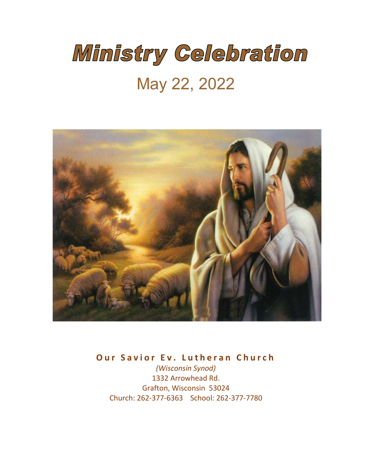# Ministry Celebration

### May 22, 2022



**Our Savior Ev. Lutheran Church**

*(Wisconsin Synod)* 1332 Arrowhead Rd. Grafton, Wisconsin 53024 Church: 262-377-6363 School: 262-377-7780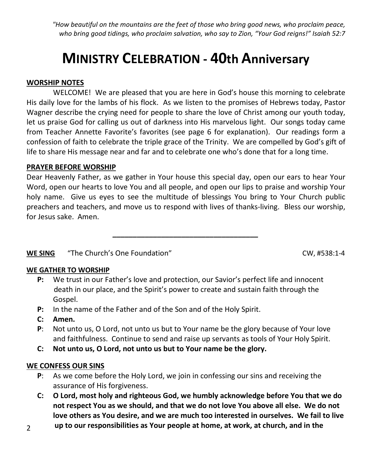*"How beautiful on the mountains are the feet of those who bring good news, who proclaim peace, who bring good tidings, who proclaim salvation, who say to Zion, "Your God reigns!" Isaiah 52:7*

### **MINISTRY CELEBRATION - 40th Anniversary**

#### **WORSHIP NOTES**

WELCOME! We are pleased that you are here in God's house this morning to celebrate His daily love for the lambs of his flock. As we listen to the promises of Hebrews today, Pastor Wagner describe the crying need for people to share the love of Christ among our youth today, let us praise God for calling us out of darkness into His marvelous light. Our songs today came from Teacher Annette Favorite's favorites (see page 6 for explanation). Our readings form a confession of faith to celebrate the triple grace of the Trinity. We are compelled by God's gift of life to share His message near and far and to celebrate one who's done that for a long time.

#### **PRAYER BEFORE WORSHIP**

Dear Heavenly Father, as we gather in Your house this special day, open our ears to hear Your Word, open our hearts to love You and all people, and open our lips to praise and worship Your holy name. Give us eyes to see the multitude of blessings You bring to Your Church public preachers and teachers, and move us to respond with lives of thanks-living. Bless our worship, for Jesus sake. Amen.

*\_\_\_\_\_\_\_\_\_\_\_\_\_\_\_\_\_\_\_\_\_\_\_\_\_\_\_\_\_\_\_\_\_\_\_\_*

#### **WE SING** "The Church's One Foundation" CW, #538:1-4

#### **WE GATHER TO WORSHIP**

- **P:** We trust in our Father's love and protection, our Savior's perfect life and innocent death in our place, and the Spirit's power to create and sustain faith through the Gospel.
- **P:** In the name of the Father and of the Son and of the Holy Spirit.
- **C: Amen.**
- **P**: Not unto us, O Lord, not unto us but to Your name be the glory because of Your love and faithfulness. Continue to send and raise up servants as tools of Your Holy Spirit.
- **C: Not unto us, O Lord, not unto us but to Your name be the glory.**

#### **WE CONFESS OUR SINS**

- **P**: As we come before the Holy Lord, we join in confessing our sins and receiving the assurance of His forgiveness.
- **C: O Lord, most holy and righteous God, we humbly acknowledge before You that we do not respect You as we should, and that we do not love You above all else. We do not love others as You desire, and we are much too interested in ourselves. We fail to live**
- **up to our responsibilities as Your people at home, at work, at church, and in the**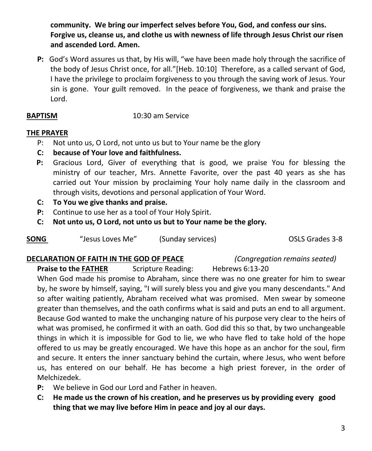**community. We bring our imperfect selves before You, God, and confess our sins. Forgive us, cleanse us, and clothe us with newness of life through Jesus Christ our risen and ascended Lord. Amen.** 

**P:** God's Word assures us that, by His will, "we have been made holy through the sacrifice of the body of Jesus Christ once, for all."[Heb. 10:10] Therefore, as a called servant of God, I have the privilege to proclaim forgiveness to you through the saving work of Jesus. Your sin is gone. Your guilt removed. In the peace of forgiveness, we thank and praise the Lord.

#### **BAPTISM** 10:30 am Service

#### **THE PRAYER**

- P: Not unto us, O Lord, not unto us but to Your name be the glory
- **C: because of Your love and faithfulness.**
- **P:** Gracious Lord, Giver of everything that is good, we praise You for blessing the ministry of our teacher, Mrs. Annette Favorite, over the past 40 years as she has carried out Your mission by proclaiming Your holy name daily in the classroom and through visits, devotions and personal application of Your Word.
- **C: To You we give thanks and praise.**
- **P:** Continue to use her as a tool of Your Holy Spirit.
- **C: Not unto us, O Lord, not unto us but to Your name be the glory.**

| <b>SONG</b> | "Jesus Loves Me" | (Sunday services) |
|-------------|------------------|-------------------|
|-------------|------------------|-------------------|

**OSLS Grades 3-8** 

#### **DECLARATION OF FAITH IN THE GOD OF PEACE** *(Congregation remains seated)*

**Praise to the FATHER** Scripture Reading: Hebrews 6:13-20

When God made his promise to Abraham, since there was no one greater for him to swear by, he swore by himself, saying, "I will surely bless you and give you many descendants." And so after waiting patiently, Abraham received what was promised. Men swear by someone greater than themselves, and the oath confirms what is said and puts an end to all argument. Because God wanted to make the unchanging nature of his purpose very clear to the heirs of what was promised, he confirmed it with an oath. God did this so that, by two unchangeable things in which it is impossible for God to lie, we who have fled to take hold of the hope offered to us may be greatly encouraged. We have this hope as an anchor for the soul, firm and secure. It enters the inner sanctuary behind the curtain, where Jesus, who went before us, has entered on our behalf. He has become a high priest forever, in the order of Melchizedek.

- **P:** We believe in God our Lord and Father in heaven.
- **C: He made us the crown of his creation, and he preserves us by providing every good thing that we may live before Him in peace and joy al our days.**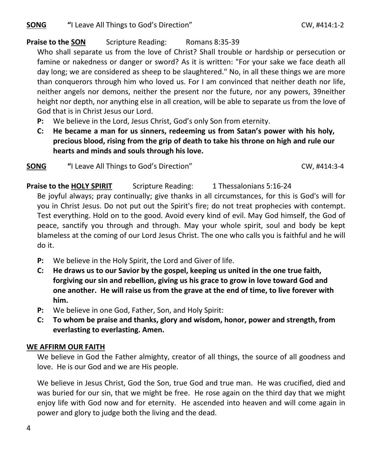**SONG**  $\bullet$  "I Leave All Things to God's Direction" CW, #414:1-2

#### **Praise to the SON** Scripture Reading: Romans 8:35-39

Who shall separate us from the love of Christ? Shall trouble or hardship or persecution or famine or nakedness or danger or sword? As it is written: "For your sake we face death all day long; we are considered as sheep to be slaughtered." No, in all these things we are more than conquerors through him who loved us. For I am convinced that neither death nor life, neither angels nor demons, neither the present nor the future, nor any powers, 39neither height nor depth, nor anything else in all creation, will be able to separate us from the love of God that is in Christ Jesus our Lord.

- **P:** We believe in the Lord, Jesus Christ, God's only Son from eternity.
- **C: He became a man for us sinners, redeeming us from Satan's power with his holy, precious blood, rising from the grip of death to take his throne on high and rule our hearts and minds and souls through his love.**

**SONG**  $\bullet$  "I Leave All Things to God's Direction" CW, #414:3-4

**Praise to the HOLY SPIRIT** Scripture Reading: 1 Thessalonians 5:16-24

Be joyful always; pray continually; give thanks in all circumstances, for this is God's will for you in Christ Jesus. Do not put out the Spirit's fire; do not treat prophecies with contempt. Test everything. Hold on to the good. Avoid every kind of evil. May God himself, the God of peace, sanctify you through and through. May your whole spirit, soul and body be kept blameless at the coming of our Lord Jesus Christ. The one who calls you is faithful and he will do it.

- **P:** We believe in the Holy Spirit, the Lord and Giver of life.
- **C: He draws us to our Savior by the gospel, keeping us united in the one true faith, forgiving our sin and rebellion, giving us his grace to grow in love toward God and one another. He will raise us from the grave at the end of time, to live forever with him.**
- **P:** We believe in one God, Father, Son, and Holy Spirit:
- **C: To whom be praise and thanks, glory and wisdom, honor, power and strength, from everlasting to everlasting. Amen.**

#### **WE AFFIRM OUR FAITH**

We believe in God the Father almighty, creator of all things, the source of all goodness and love. He is our God and we are His people.

We believe in Jesus Christ, God the Son, true God and true man. He was crucified, died and was buried for our sin, that we might be free. He rose again on the third day that we might enjoy life with God now and for eternity. He ascended into heaven and will come again in power and glory to judge both the living and the dead.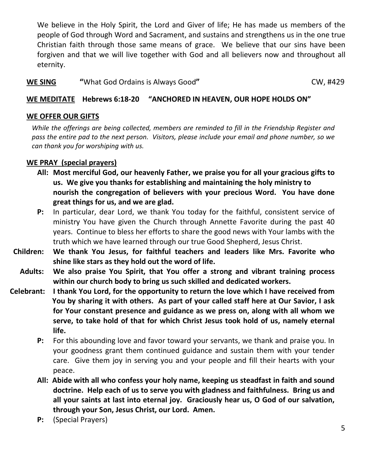We believe in the Holy Spirit, the Lord and Giver of life; He has made us members of the people of God through Word and Sacrament, and sustains and strengthens us in the one true Christian faith through those same means of grace. We believe that our sins have been forgiven and that we will live together with God and all believers now and throughout all eternity.

**WE SING "**What God Ordains is Always Good" **CW, #429** 

#### **WE MEDITATE Hebrews 6:18-20 "ANCHORED IN HEAVEN, OUR HOPE HOLDS ON"**

#### **WE OFFER OUR GIFTS**

*While the offerings are being collected, members are reminded to fill in the Friendship Register and pass the entire pad to the next person. Visitors, please include your email and phone number, so we can thank you for worshiping with us.*

#### **WE PRAY (special prayers)**

- **All: Most merciful God, our heavenly Father, we praise you for all your gracious gifts to us. We give you thanks for establishing and maintaining the holy ministry to nourish the congregation of believers with your precious Word. You have done great things for us, and we are glad.**
- **P:** In particular, dear Lord, we thank You today for the faithful, consistent service of ministry You have given the Church through Annette Favorite during the past 40 years. Continue to bless her efforts to share the good news with Your lambs with the truth which we have learned through our true Good Shepherd, Jesus Christ.
- **Children: We thank You Jesus, for faithful teachers and leaders like Mrs. Favorite who shine like stars as they hold out the word of life.**
	- **Adults: We also praise You Spirit, that You offer a strong and vibrant training process within our church body to bring us such skilled and dedicated workers.**
- **Celebrant: I thank You Lord, for the opportunity to return the love which I have received from You by sharing it with others. As part of your called staff here at Our Savior, I ask for Your constant presence and guidance as we press on, along with all whom we serve, to take hold of that for which Christ Jesus took hold of us, namely eternal life.**
	- **P:** For this abounding love and favor toward your servants, we thank and praise you. In your goodness grant them continued guidance and sustain them with your tender care. Give them joy in serving you and your people and fill their hearts with your peace.
	- **All: Abide with all who confess your holy name, keeping us steadfast in faith and sound doctrine. Help each of us to serve you with gladness and faithfulness. Bring us and all your saints at last into eternal joy. Graciously hear us, O God of our salvation, through your Son, Jesus Christ, our Lord. Amen.**
	- **P:** (Special Prayers)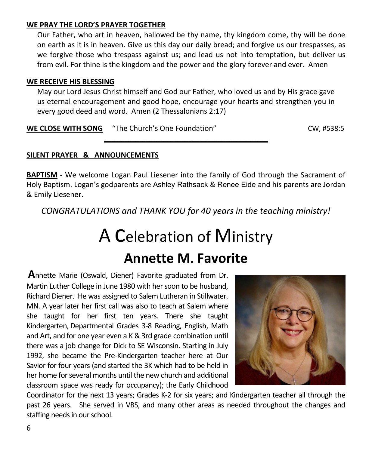#### **WE PRAY THE LORD'S PRAYER TOGETHER**

Our Father, who art in heaven, hallowed be thy name, thy kingdom come, thy will be done on earth as it is in heaven. Give us this day our daily bread; and forgive us our trespasses, as we forgive those who trespass against us; and lead us not into temptation, but deliver us from evil. For thine is the kingdom and the power and the glory forever and ever. Amen

#### **WE RECEIVE HIS BLESSING**

May our Lord Jesus Christ himself and God our Father, who loved us and by His grace gave us eternal encouragement and good hope, encourage your hearts and strengthen you in every good deed and word. Amen (2 Thessalonians 2:17)

\_\_\_\_\_\_\_\_\_\_\_\_\_\_\_\_\_\_\_\_\_\_\_\_\_\_\_\_\_\_\_\_\_\_\_\_\_\_\_\_\_\_\_\_\_\_\_

**WE CLOSE WITH SONG** "The Church's One Foundation" CW, #538:5

#### **SILENT PRAYER & ANNOUNCEMENTS**

**BAPTISM -** We welcome Logan Paul Liesener into the family of God through the Sacrament of Holy Baptism. Logan's godparents are Ashley Rathsack & Renee Eide and his parents are Jordan & Emily Liesener.

*CONGRATULATIONS and THANK YOU for 40 years in the teaching ministry!*

## A Celebration of Ministry **Annette M. Favorite**

**A**nnette Marie (Oswald, Diener) Favorite graduated from Dr. Martin Luther College in June 1980 with her soon to be husband, Richard Diener. He was assigned to Salem Lutheran in Stillwater. MN. A year later her first call was also to teach at Salem where she taught for her first ten years. There she taught Kindergarten, Departmental Grades 3-8 Reading, English, Math and Art, and for one year even a K & 3rd grade combination until there was a job change for Dick to SE Wisconsin. Starting in July 1992, she became the Pre-Kindergarten teacher here at Our Savior for four years (and started the 3K which had to be held in her home for several months until the new church and additional classroom space was ready for occupancy); the Early Childhood



Coordinator for the next 13 years; Grades K-2 for six years; and Kindergarten teacher all through the past 26 years. She served in VBS, and many other areas as needed throughout the changes and staffing needs in our school.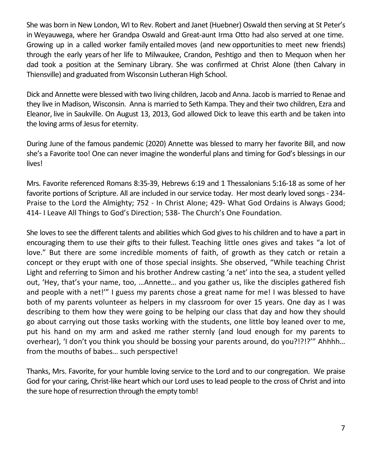She was born in New London, WI to Rev. Robert and Janet (Huebner) Oswald then serving at St Peter's in Weyauwega, where her Grandpa Oswald and Great-aunt Irma Otto had also served at one time. Growing up in a called worker family entailed moves (and new opportunitiesto meet new friends) through the early years of her life to Milwaukee, Crandon, Peshtigo and then to Mequon when her dad took a position at the Seminary Library. She was confirmed at Christ Alone (then Calvary in Thiensville) and graduated from Wisconsin Lutheran High School.

Dick and Annette were blessed with two living children, Jacob and Anna. Jacob is married to Renae and they live in Madison, Wisconsin. Anna is married to Seth Kampa. They and their two children, Ezra and Eleanor, live in Saukville. On August 13, 2013, God allowed Dick to leave this earth and be taken into the loving arms of Jesus for eternity.

During June of the famous pandemic (2020) Annette was blessed to marry her favorite Bill, and now she's a Favorite too! One can never imagine the wonderful plans and timing for God's blessings in our lives!

Mrs. Favorite referenced Romans 8:35-39, Hebrews 6:19 and 1 Thessalonians 5:16-18 as some of her favorite portions of Scripture. All are included in our service today. Her most dearly loved songs - 234- Praise to the Lord the Almighty; 752 - In Christ Alone; 429- What God Ordains is Always Good; 414- I Leave All Things to God's Direction; 538- The Church's One Foundation.

She loves to see the different talents and abilities which God gives to his children and to have a part in encouraging them to use their gifts to their fullest. Teaching little ones gives and takes "a lot of love." But there are some incredible moments of faith, of growth as they catch or retain a concept or they erupt with one of those special insights. She observed, "While teaching Christ Light and referring to Simon and his brother Andrew casting 'a net' into the sea, a student yelled out, 'Hey, that's your name, too, …Annette… and you gather us, like the disciples gathered fish and people with a net!'" I guess my parents chose a great name for me! I was blessed to have both of my parents volunteer as helpers in my classroom for over 15 years. One day as I was describing to them how they were going to be helping our class that day and how they should go about carrying out those tasks working with the students, one little boy leaned over to me, put his hand on my arm and asked me rather sternly (and loud enough for my parents to overhear), 'I don't you think you should be bossing your parents around, do you?!?!?'" Ahhhh… from the mouths of babes… such perspective!

Thanks, Mrs. Favorite, for your humble loving service to the Lord and to our congregation. We praise God for your caring, Christ-like heart which our Lord uses to lead people to the cross of Christ and into the sure hope of resurrection through the empty tomb!